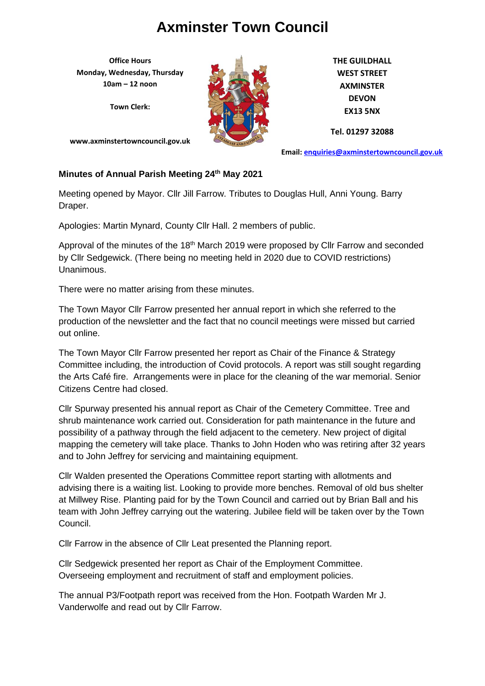## **Axminster Town Council**

**Office Hours Monday, Wednesday, Thursday 10am – 12 noon**

**Town Clerk:**



**THE GUILDHALL WEST STREET AXMINSTER DEVON EX13 5NX**

**Tel. 01297 32088**

**www.axminstertowncouncil.gov.uk**

**Email: [enquiries@axminstertowncouncil.gov.uk](mailto:enquiries@axminstertowncouncil.gov.uk)**

## **Minutes of Annual Parish Meeting 24th May 2021**

Meeting opened by Mayor. Cllr Jill Farrow. Tributes to Douglas Hull, Anni Young. Barry Draper.

Apologies: Martin Mynard, County Cllr Hall. 2 members of public.

Approval of the minutes of the 18<sup>th</sup> March 2019 were proposed by Cllr Farrow and seconded by Cllr Sedgewick. (There being no meeting held in 2020 due to COVID restrictions) Unanimous.

There were no matter arising from these minutes.

The Town Mayor Cllr Farrow presented her annual report in which she referred to the production of the newsletter and the fact that no council meetings were missed but carried out online.

The Town Mayor Cllr Farrow presented her report as Chair of the Finance & Strategy Committee including, the introduction of Covid protocols. A report was still sought regarding the Arts Café fire. Arrangements were in place for the cleaning of the war memorial. Senior Citizens Centre had closed.

Cllr Spurway presented his annual report as Chair of the Cemetery Committee. Tree and shrub maintenance work carried out. Consideration for path maintenance in the future and possibility of a pathway through the field adjacent to the cemetery. New project of digital mapping the cemetery will take place. Thanks to John Hoden who was retiring after 32 years and to John Jeffrey for servicing and maintaining equipment.

Cllr Walden presented the Operations Committee report starting with allotments and advising there is a waiting list. Looking to provide more benches. Removal of old bus shelter at Millwey Rise. Planting paid for by the Town Council and carried out by Brian Ball and his team with John Jeffrey carrying out the watering. Jubilee field will be taken over by the Town Council.

Cllr Farrow in the absence of Cllr Leat presented the Planning report.

Cllr Sedgewick presented her report as Chair of the Employment Committee. Overseeing employment and recruitment of staff and employment policies.

The annual P3/Footpath report was received from the Hon. Footpath Warden Mr J. Vanderwolfe and read out by Cllr Farrow.